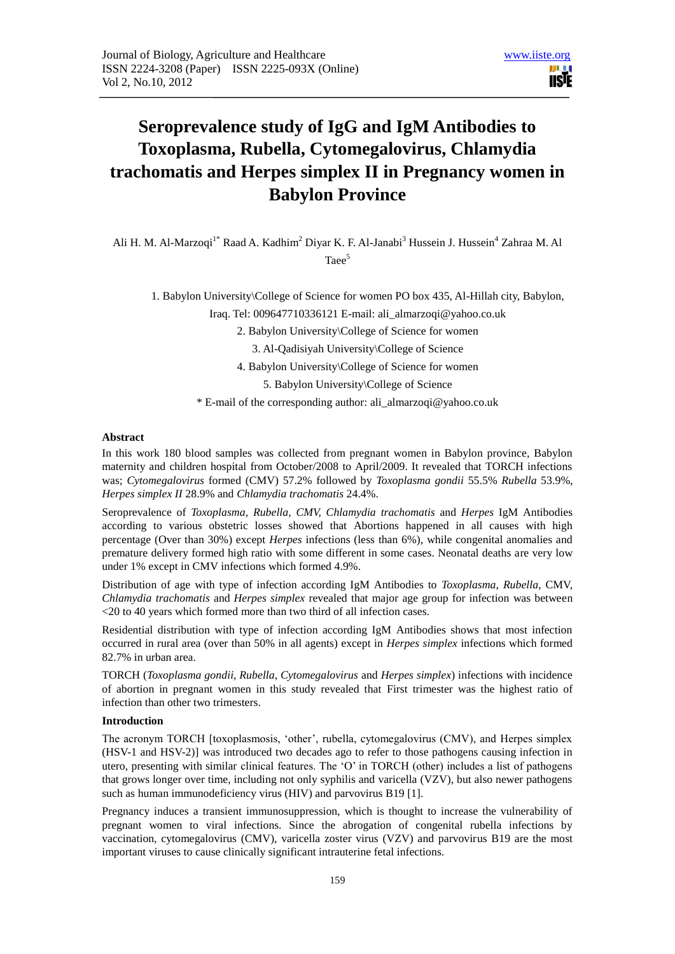

# **Seroprevalence study of IgG and IgM Antibodies to Toxoplasma, Rubella, Cytomegalovirus, Chlamydia trachomatis and Herpes simplex II in Pregnancy women in Babylon Province**

Ali H. M. Al-Marzoqi<sup>1\*</sup> Raad A. Kadhim<sup>2</sup> Divar K. F. Al-Janabi<sup>3</sup> Hussein J. Hussein<sup>4</sup> Zahraa M. Al Taee<sup>5</sup>

1. Babylon University\College of Science for women PO box 435, Al-Hillah city, Babylon,

Iraq. Tel: 009647710336121 E-mail: [ali\\_almarzoqi@yahoo.co.uk](mailto:ali_almarzoqi@yahoo.co.uk)

2. Babylon University\College of Science for women

3. Al-Qadisiyah University\College of Science

4. Babylon University\College of Science for women

5. Babylon University\College of Science

\* E-mail of the corresponding author: [ali\\_almarzoqi@yahoo.co.uk](mailto:ali_almarzoqi@yahoo.co.uk)

## **Abstract**

In this work 180 blood samples was collected from pregnant women in Babylon province, Babylon maternity and children hospital from October/2008 to April/2009. It revealed that TORCH infections was; *Cytomegalovirus* formed (CMV) 57.2% followed by *Toxoplasma gondii* 55.5% *Rubella* 53.9%, *Herpes simplex II* 28.9% and *Chlamydia trachomatis* 24.4%.

Seroprevalence of *Toxoplasma, Rubella, CMV, Chlamydia trachomatis* and *Herpes* IgM Antibodies according to various obstetric losses showed that Abortions happened in all causes with high percentage (Over than 30%) except *Herpes* infections (less than 6%), while congenital anomalies and premature delivery formed high ratio with some different in some cases. Neonatal deaths are very low under 1% except in CMV infections which formed 4.9%.

Distribution of age with type of infection according IgM Antibodies to *Toxoplasma*, *Rubella*, CMV, *Chlamydia trachomatis* and *Herpes simplex* revealed that major age group for infection was between <20 to 40 years which formed more than two third of all infection cases.

Residential distribution with type of infection according IgM Antibodies shows that most infection occurred in rural area (over than 50% in all agents) except in *Herpes simplex* infections which formed 82.7% in urban area.

TORCH (*Toxoplasma gondii, Rubella, Cytomegalovirus* and *Herpes simplex*) infections with incidence of abortion in pregnant women in this study revealed that First trimester was the highest ratio of infection than other two trimesters.

## **Introduction**

The acronym TORCH [toxoplasmosis, 'other', rubella, cytomegalovirus (CMV), and Herpes simplex (HSV-1 and HSV-2)] was introduced two decades ago to refer to those pathogens causing infection in utero, presenting with similar clinical features. The 'O' in TORCH (other) includes a list of pathogens that grows longer over time, including not only syphilis and varicella (VZV), but also newer pathogens such as human immunodeficiency virus (HIV) and parvovirus B19 [1].

Pregnancy induces a transient immunosuppression, which is thought to increase the vulnerability of pregnant women to viral infections. Since the abrogation of congenital rubella infections by vaccination, cytomegalovirus (CMV), varicella zoster virus (VZV) and parvovirus B19 are the most important viruses to cause clinically significant intrauterine fetal infections.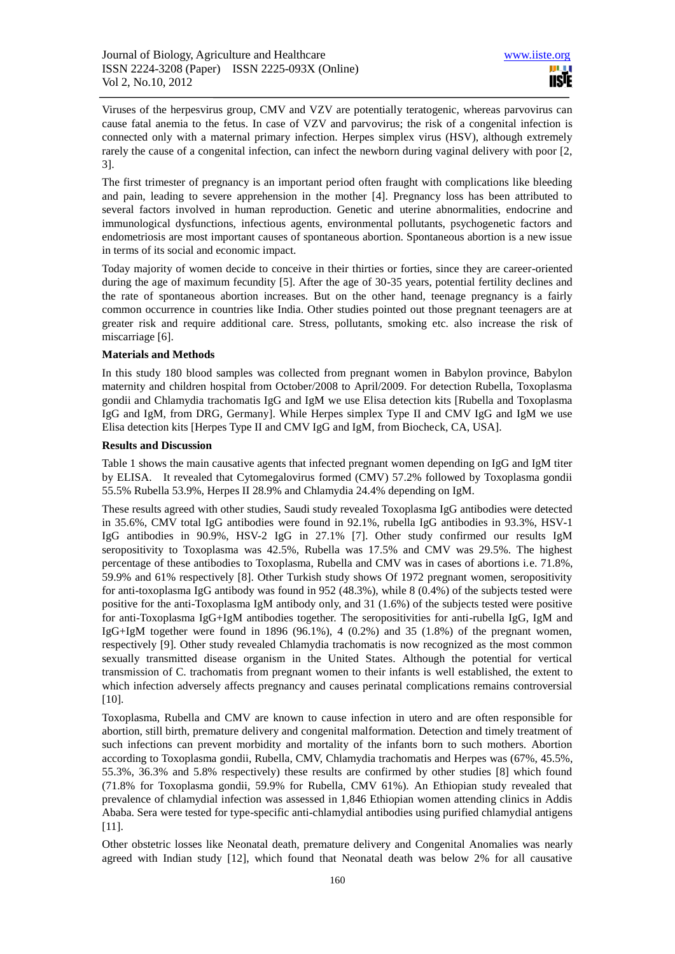Viruses of the herpesvirus group, CMV and VZV are potentially teratogenic, whereas parvovirus can cause fatal anemia to the fetus. In case of VZV and parvovirus; the risk of a congenital infection is connected only with a maternal primary infection. Herpes simplex virus (HSV), although extremely rarely the cause of a congenital infection, can infect the newborn during vaginal delivery with poor [2, 3].

The first trimester of pregnancy is an important period often fraught with complications like bleeding and pain, leading to severe apprehension in the mother [4]. Pregnancy loss has been attributed to several factors involved in human reproduction. Genetic and uterine abnormalities, endocrine and immunological dysfunctions, infectious agents, environmental pollutants, psychogenetic factors and endometriosis are most important causes of spontaneous abortion. Spontaneous abortion is a new issue in terms of its social and economic impact.

Today majority of women decide to conceive in their thirties or forties, since they are career-oriented during the age of maximum fecundity [5]. After the age of 30-35 years, potential fertility declines and the rate of spontaneous abortion increases. But on the other hand, teenage pregnancy is a fairly common occurrence in countries like India. Other studies pointed out those pregnant teenagers are at greater risk and require additional care. Stress, pollutants, smoking etc. also increase the risk of miscarriage [6].

#### **Materials and Methods**

In this study 180 blood samples was collected from pregnant women in Babylon province, Babylon maternity and children hospital from October/2008 to April/2009. For detection Rubella, Toxoplasma gondii and Chlamydia trachomatis IgG and IgM we use Elisa detection kits [Rubella and Toxoplasma IgG and IgM, from DRG, Germany]. While Herpes simplex Type II and CMV IgG and IgM we use Elisa detection kits [Herpes Type II and CMV IgG and IgM, from Biocheck, CA, USA].

# **Results and Discussion**

Table 1 shows the main causative agents that infected pregnant women depending on IgG and IgM titer by ELISA. It revealed that Cytomegalovirus formed (CMV) 57.2% followed by Toxoplasma gondii 55.5% Rubella 53.9%, Herpes II 28.9% and Chlamydia 24.4% depending on IgM.

These results agreed with other studies, Saudi study revealed Toxoplasma IgG antibodies were detected in 35.6%, CMV total IgG antibodies were found in 92.1%, rubella IgG antibodies in 93.3%, HSV-1 IgG antibodies in 90.9%, HSV-2 IgG in 27.1% [7]. Other study confirmed our results IgM seropositivity to Toxoplasma was 42.5%, Rubella was 17.5% and CMV was 29.5%. The highest percentage of these antibodies to Toxoplasma, Rubella and CMV was in cases of abortions i.e. 71.8%, 59.9% and 61% respectively [8]. Other Turkish study shows Of 1972 pregnant women, seropositivity for anti-toxoplasma IgG antibody was found in 952 (48.3%), while 8 (0.4%) of the subjects tested were positive for the anti-Toxoplasma IgM antibody only, and 31 (1.6%) of the subjects tested were positive for anti-Toxoplasma IgG+IgM antibodies together. The seropositivities for anti-rubella IgG, IgM and IgG+IgM together were found in 1896 (96.1%), 4 (0.2%) and 35 (1.8%) of the pregnant women, respectively [9]. Other study revealed Chlamydia trachomatis is now recognized as the most common sexually transmitted disease organism in the United States. Although the potential for vertical transmission of C. trachomatis from pregnant women to their infants is well established, the extent to which infection adversely affects pregnancy and causes perinatal complications remains controversial [10].

Toxoplasma, Rubella and CMV are known to cause infection in utero and are often responsible for abortion, still birth, premature delivery and congenital malformation. Detection and timely treatment of such infections can prevent morbidity and mortality of the infants born to such mothers. Abortion according to Toxoplasma gondii, Rubella, CMV, Chlamydia trachomatis and Herpes was (67%, 45.5%, 55.3%, 36.3% and 5.8% respectively) these results are confirmed by other studies [8] which found (71.8% for Toxoplasma gondii, 59.9% for Rubella, CMV 61%). An Ethiopian study revealed that prevalence of chlamydial infection was assessed in 1,846 Ethiopian women attending clinics in Addis Ababa. Sera were tested for type-specific anti-chlamydial antibodies using purified chlamydial antigens [11].

Other obstetric losses like Neonatal death, premature delivery and Congenital Anomalies was nearly agreed with Indian study [12], which found that Neonatal death was below 2% for all causative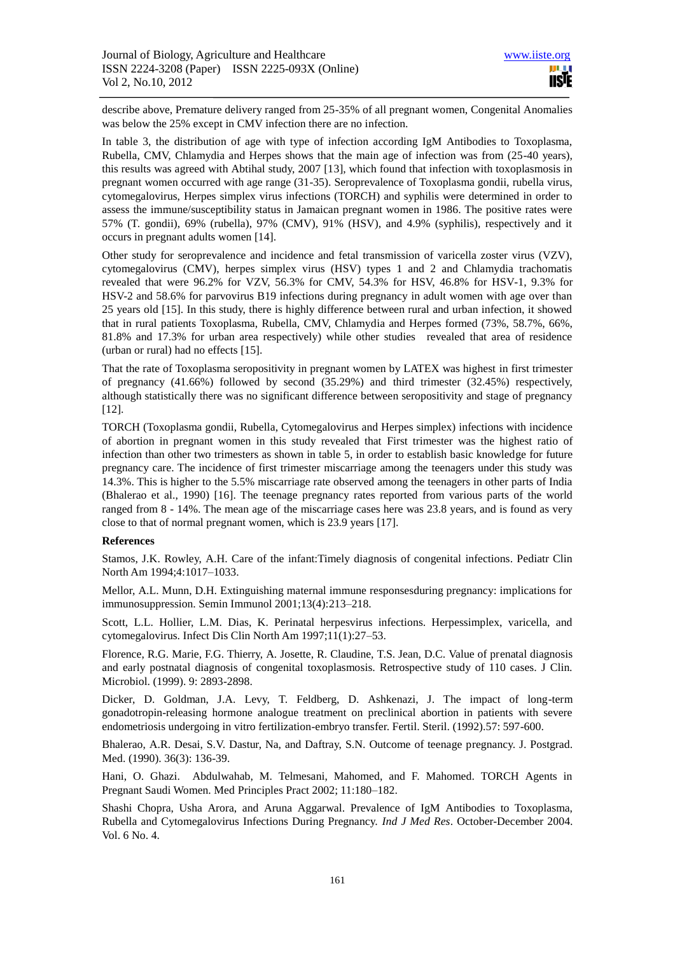describe above, Premature delivery ranged from 25-35% of all pregnant women, Congenital Anomalies was below the 25% except in CMV infection there are no infection.

In table 3, the distribution of age with type of infection according IgM Antibodies to Toxoplasma, Rubella, CMV, Chlamydia and Herpes shows that the main age of infection was from (25-40 years), this results was agreed with Abtihal study, 2007 [13], which found that infection with toxoplasmosis in pregnant women occurred with age range (31-35). Seroprevalence of Toxoplasma gondii, rubella virus, cytomegalovirus, Herpes simplex virus infections (TORCH) and syphilis were determined in order to assess the immune/susceptibility status in Jamaican pregnant women in 1986. The positive rates were 57% (T. gondii), 69% (rubella), 97% (CMV), 91% (HSV), and 4.9% (syphilis), respectively and it occurs in pregnant adults women [14].

Other study for seroprevalence and incidence and fetal transmission of varicella zoster virus (VZV), cytomegalovirus (CMV), herpes simplex virus (HSV) types 1 and 2 and Chlamydia trachomatis revealed that were 96.2% for VZV, 56.3% for CMV, 54.3% for HSV, 46.8% for HSV-1, 9.3% for HSV-2 and 58.6% for parvovirus B19 infections during pregnancy in adult women with age over than 25 years old [15]. In this study, there is highly difference between rural and urban infection, it showed that in rural patients Toxoplasma, Rubella, CMV, Chlamydia and Herpes formed (73%, 58.7%, 66%, 81.8% and 17.3% for urban area respectively) while other studies revealed that area of residence (urban or rural) had no effects [15].

That the rate of Toxoplasma seropositivity in pregnant women by LATEX was highest in first trimester of pregnancy (41.66%) followed by second (35.29%) and third trimester (32.45%) respectively, although statistically there was no significant difference between seropositivity and stage of pregnancy [12].

TORCH (Toxoplasma gondii, Rubella, Cytomegalovirus and Herpes simplex) infections with incidence of abortion in pregnant women in this study revealed that First trimester was the highest ratio of infection than other two trimesters as shown in table 5, in order to establish basic knowledge for future pregnancy care. The incidence of first trimester miscarriage among the teenagers under this study was 14.3%. This is higher to the 5.5% miscarriage rate observed among the teenagers in other parts of India (Bhalerao et al., 1990) [16]. The teenage pregnancy rates reported from various parts of the world ranged from 8 - 14%. The mean age of the miscarriage cases here was 23.8 years, and is found as very close to that of normal pregnant women, which is 23.9 years [17].

#### **References**

Stamos, J.K. Rowley, A.H. Care of the infant:Timely diagnosis of congenital infections. Pediatr Clin North Am 1994;4:1017–1033.

Mellor, A.L. Munn, D.H. Extinguishing maternal immune responsesduring pregnancy: implications for immunosuppression. Semin Immunol 2001;13(4):213–218.

Scott, L.L. Hollier, L.M. Dias, K. Perinatal herpesvirus infections. Herpessimplex, varicella, and cytomegalovirus. Infect Dis Clin North Am 1997;11(1):27–53.

Florence, R.G. Marie, F.G. Thierry, A. Josette, R. Claudine, T.S. Jean, D.C. Value of prenatal diagnosis and early postnatal diagnosis of congenital toxoplasmosis. Retrospective study of 110 cases. J Clin. Microbiol. (1999). 9: 2893-2898.

Dicker, D. Goldman, J.A. Levy, T. Feldberg, D. Ashkenazi, J. The impact of long-term gonadotropin-releasing hormone analogue treatment on preclinical abortion in patients with severe endometriosis undergoing in vitro fertilization-embryo transfer. Fertil. Steril. (1992).57: 597-600.

Bhalerao, A.R. Desai, S.V. Dastur, Na, and Daftray, S.N. Outcome of teenage pregnancy. J. Postgrad. Med. (1990). 36(3): 136-39.

Hani, O. Ghazi. Abdulwahab, M. Telmesani, Mahomed, and F. Mahomed. TORCH Agents in Pregnant Saudi Women. Med Principles Pract 2002; 11:180–182.

Shashi Chopra, Usha Arora, and Aruna Aggarwal. Prevalence of IgM Antibodies to Toxoplasma, Rubella and Cytomegalovirus Infections During Pregnancy. *Ind J Med Res*. October-December 2004. Vol. 6 No. 4.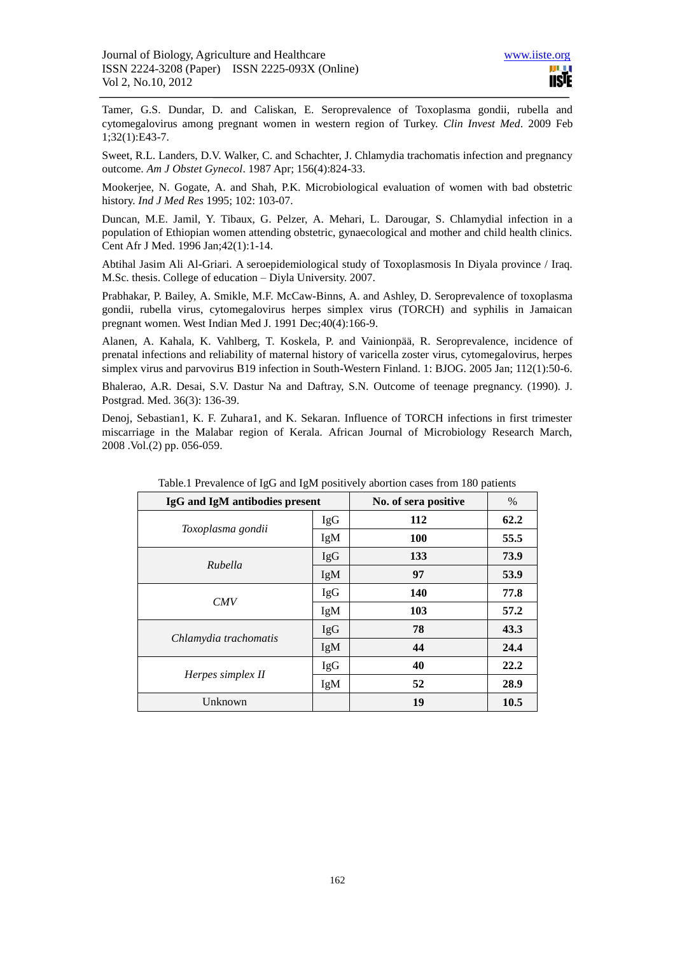[Tamer, G.S.](http://www.ncbi.nlm.nih.gov/sites/entrez?Db=pubmed&Cmd=Search&Term=%22Tamer%20GS%22%5BAuthor%5D&itool=EntrezSystem2.PEntrez.Pubmed.Pubmed_ResultsPanel.Pubmed_DiscoveryPanel.Pubmed_RVAbstractPlus) [Dundar, D.](http://www.ncbi.nlm.nih.gov/sites/entrez?Db=pubmed&Cmd=Search&Term=%22Dundar%20D%22%5BAuthor%5D&itool=EntrezSystem2.PEntrez.Pubmed.Pubmed_ResultsPanel.Pubmed_DiscoveryPanel.Pubmed_RVAbstractPlus) and [Caliskan, E.](http://www.ncbi.nlm.nih.gov/sites/entrez?Db=pubmed&Cmd=Search&Term=%22Caliskan%20E%22%5BAuthor%5D&itool=EntrezSystem2.PEntrez.Pubmed.Pubmed_ResultsPanel.Pubmed_DiscoveryPanel.Pubmed_RVAbstractPlus) Seroprevalence of Toxoplasma gondii, rubella and cytomegalovirus among pregnant women in western region of Turkey. *[Clin Invest Med](javascript:AL_get(this,%20)*. 2009 Feb 1;32(1):E43-7.

[Sweet, R.L.](http://www.ncbi.nlm.nih.gov/sites/entrez?Db=pubmed&Cmd=Search&Term=%22Sweet%20RL%22%5BAuthor%5D&itool=EntrezSystem2.PEntrez.Pubmed.Pubmed_ResultsPanel.Pubmed_DiscoveryPanel.Pubmed_RVAbstractPlus) [Landers, D.V.](http://www.ncbi.nlm.nih.gov/sites/entrez?Db=pubmed&Cmd=Search&Term=%22Landers%20DV%22%5BAuthor%5D&itool=EntrezSystem2.PEntrez.Pubmed.Pubmed_ResultsPanel.Pubmed_DiscoveryPanel.Pubmed_RVAbstractPlus) [Walker, C.](http://www.ncbi.nlm.nih.gov/sites/entrez?Db=pubmed&Cmd=Search&Term=%22Walker%20C%22%5BAuthor%5D&itool=EntrezSystem2.PEntrez.Pubmed.Pubmed_ResultsPanel.Pubmed_DiscoveryPanel.Pubmed_RVAbstractPlus) and [Schachter, J.](http://www.ncbi.nlm.nih.gov/sites/entrez?Db=pubmed&Cmd=Search&Term=%22Schachter%20J%22%5BAuthor%5D&itool=EntrezSystem2.PEntrez.Pubmed.Pubmed_ResultsPanel.Pubmed_DiscoveryPanel.Pubmed_RVAbstractPlus) Chlamydia trachomatis infection and pregnancy outcome. *[Am J Obstet Gynecol](javascript:AL_get(this,%20)*. 1987 Apr; 156(4):824-33.

Mookerjee, N. Gogate, A. and Shah, P.K. Microbiological evaluation of women with bad obstetric history. *Ind J Med Res* 1995; 102: 103-07.

[Duncan, M.E.](http://www.ncbi.nlm.nih.gov/sites/entrez?Db=pubmed&Cmd=Search&Term=%22Duncan%20ME%22%5BAuthor%5D&itool=EntrezSystem2.PEntrez.Pubmed.Pubmed_ResultsPanel.Pubmed_DiscoveryPanel.Pubmed_RVAbstractPlus) [Jamil, Y.](http://www.ncbi.nlm.nih.gov/sites/entrez?Db=pubmed&Cmd=Search&Term=%22Jamil%20Y%22%5BAuthor%5D&itool=EntrezSystem2.PEntrez.Pubmed.Pubmed_ResultsPanel.Pubmed_DiscoveryPanel.Pubmed_RVAbstractPlus) [Tibaux, G.](http://www.ncbi.nlm.nih.gov/sites/entrez?Db=pubmed&Cmd=Search&Term=%22Tibaux%20G%22%5BAuthor%5D&itool=EntrezSystem2.PEntrez.Pubmed.Pubmed_ResultsPanel.Pubmed_DiscoveryPanel.Pubmed_RVAbstractPlus) [Pelzer, A.](http://www.ncbi.nlm.nih.gov/sites/entrez?Db=pubmed&Cmd=Search&Term=%22Pelzer%20A%22%5BAuthor%5D&itool=EntrezSystem2.PEntrez.Pubmed.Pubmed_ResultsPanel.Pubmed_DiscoveryPanel.Pubmed_RVAbstractPlus) [Mehari, L.](http://www.ncbi.nlm.nih.gov/sites/entrez?Db=pubmed&Cmd=Search&Term=%22Mehari%20L%22%5BAuthor%5D&itool=EntrezSystem2.PEntrez.Pubmed.Pubmed_ResultsPanel.Pubmed_DiscoveryPanel.Pubmed_RVAbstractPlus) [Darougar, S.](http://www.ncbi.nlm.nih.gov/sites/entrez?Db=pubmed&Cmd=Search&Term=%22Darougar%20S%22%5BAuthor%5D&itool=EntrezSystem2.PEntrez.Pubmed.Pubmed_ResultsPanel.Pubmed_DiscoveryPanel.Pubmed_RVAbstractPlus) Chlamydial infection in a population of Ethiopian women attending obstetric, gynaecological and mother and child health clinics. [Cent Afr J Med.](javascript:AL_get(this,%20) 1996 Jan;42(1):1-14.

Abtihal Jasim Ali Al-Griari. A seroepidemiological study of Toxoplasmosis In Diyala province / Iraq. M.Sc. thesis. College of education – Diyla University. 2007.

[Prabhakar, P.](http://www.ncbi.nlm.nih.gov/sites/entrez?Db=pubmed&Cmd=Search&Term=%22Prabhakar%20P%22%5BAuthor%5D&itool=EntrezSystem2.PEntrez.Pubmed.Pubmed_ResultsPanel.Pubmed_DiscoveryPanel.Pubmed_RVAbstractPlus) [Bailey, A.](http://www.ncbi.nlm.nih.gov/sites/entrez?Db=pubmed&Cmd=Search&Term=%22Bailey%20A%22%5BAuthor%5D&itool=EntrezSystem2.PEntrez.Pubmed.Pubmed_ResultsPanel.Pubmed_DiscoveryPanel.Pubmed_RVAbstractPlus) [Smikle, M.F.](http://www.ncbi.nlm.nih.gov/sites/entrez?Db=pubmed&Cmd=Search&Term=%22Smikle%20MF%22%5BAuthor%5D&itool=EntrezSystem2.PEntrez.Pubmed.Pubmed_ResultsPanel.Pubmed_DiscoveryPanel.Pubmed_RVAbstractPlus) [McCaw-Binns, A.](http://www.ncbi.nlm.nih.gov/sites/entrez?Db=pubmed&Cmd=Search&Term=%22McCaw-Binns%20A%22%5BAuthor%5D&itool=EntrezSystem2.PEntrez.Pubmed.Pubmed_ResultsPanel.Pubmed_DiscoveryPanel.Pubmed_RVAbstractPlus) and [Ashley, D.](http://www.ncbi.nlm.nih.gov/sites/entrez?Db=pubmed&Cmd=Search&Term=%22Ashley%20D%22%5BAuthor%5D&itool=EntrezSystem2.PEntrez.Pubmed.Pubmed_ResultsPanel.Pubmed_DiscoveryPanel.Pubmed_RVAbstractPlus) Seroprevalence of toxoplasma gondii, rubella virus, cytomegalovirus herpes simplex virus (TORCH) and syphilis in Jamaican pregnant women[. West Indian Med J.](javascript:AL_get(this,%20) 1991 Dec;40(4):166-9.

[Alanen, A.](http://www.ncbi.nlm.nih.gov/sites/entrez?Db=pubmed&Cmd=Search&Term=%22Alanen%20A%22%5BAuthor%5D&itool=EntrezSystem2.PEntrez.Pubmed.Pubmed_ResultsPanel.Pubmed_DiscoveryPanel.Pubmed_RVAbstractPlus) [Kahala, K.](http://www.ncbi.nlm.nih.gov/sites/entrez?Db=pubmed&Cmd=Search&Term=%22Kahala%20K%22%5BAuthor%5D&itool=EntrezSystem2.PEntrez.Pubmed.Pubmed_ResultsPanel.Pubmed_DiscoveryPanel.Pubmed_RVAbstractPlus) [Vahlberg, T.](http://www.ncbi.nlm.nih.gov/sites/entrez?Db=pubmed&Cmd=Search&Term=%22Vahlberg%20T%22%5BAuthor%5D&itool=EntrezSystem2.PEntrez.Pubmed.Pubmed_ResultsPanel.Pubmed_DiscoveryPanel.Pubmed_RVAbstractPlus) [Koskela, P.](http://www.ncbi.nlm.nih.gov/sites/entrez?Db=pubmed&Cmd=Search&Term=%22Koskela%20P%22%5BAuthor%5D&itool=EntrezSystem2.PEntrez.Pubmed.Pubmed_ResultsPanel.Pubmed_DiscoveryPanel.Pubmed_RVAbstractPlus) and [Vainionpää, R.](http://www.ncbi.nlm.nih.gov/sites/entrez?Db=pubmed&Cmd=Search&Term=%22Vainionp%C3%A4%C3%A4%20R%22%5BAuthor%5D&itool=EntrezSystem2.PEntrez.Pubmed.Pubmed_ResultsPanel.Pubmed_DiscoveryPanel.Pubmed_RVAbstractPlus) Seroprevalence, incidence of prenatal infections and reliability of maternal history of varicella zoster virus, cytomegalovirus, herpes simplex virus and parvovirus B19 infection in South-Western Finland. 1: [BJOG.](javascript:AL_get(this,%20) 2005 Jan; 112(1):50-6.

Bhalerao, A.R. Desai, S.V. Dastur Na and Daftray, S.N. Outcome of teenage pregnancy. (1990). J. Postgrad. Med. 36(3): 136-39.

Denoj, Sebastian1, K. F. Zuhara1, and K. Sekaran. Influence of TORCH infections in first trimester miscarriage in the Malabar region of Kerala. African Journal of Microbiology Research March, 2008 .Vol.(2) pp. 056-059.

|                       | IgG and IgM antibodies present |            | %    |
|-----------------------|--------------------------------|------------|------|
|                       | <b>IgG</b>                     | 112        | 62.2 |
| Toxoplasma gondii     | IgM                            | <b>100</b> | 55.5 |
| Rubella               | <b>IgG</b>                     | 133        | 73.9 |
|                       | IgM                            | 97         | 53.9 |
|                       | IgG                            | 140        | 77.8 |
| CMV                   | IgM                            | 103        | 57.2 |
|                       | <b>IgG</b>                     | 78         | 43.3 |
| Chlamydia trachomatis | IgM                            | 44         | 24.4 |
|                       | IgG                            | 40         | 22.2 |
| Herpes simplex II     | IgM                            | 52         | 28.9 |
| Unknown               |                                | 19         | 10.5 |

Table.1 Prevalence of IgG and IgM positively abortion cases from 180 patients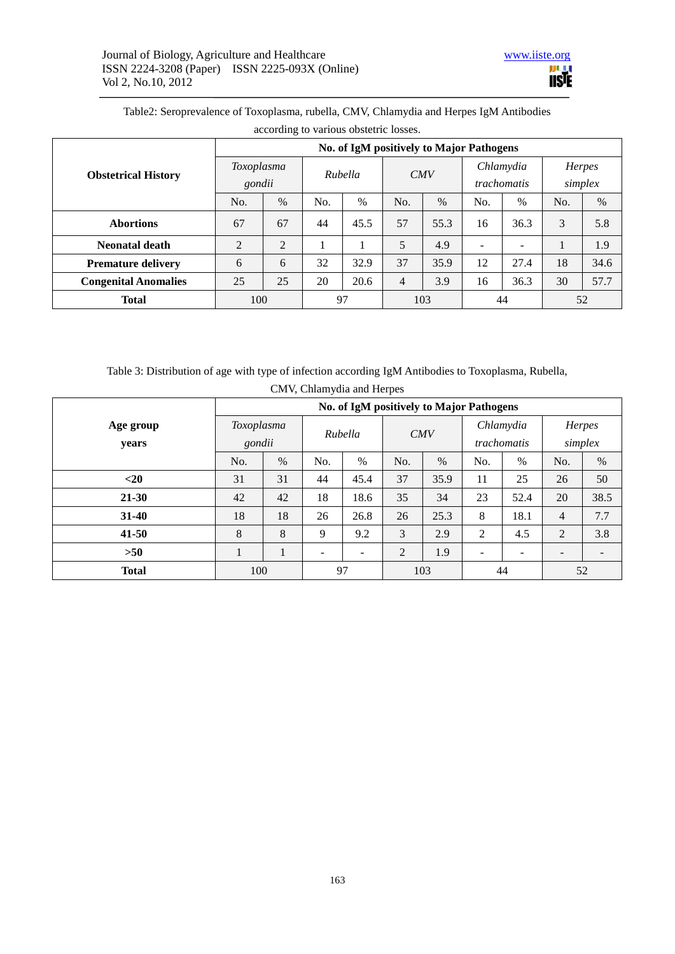| according to various obstetric losses. |                                          |      |         |      |     |      |                          |      |         |      |  |
|----------------------------------------|------------------------------------------|------|---------|------|-----|------|--------------------------|------|---------|------|--|
| <b>Obstetrical History</b>             | No. of IgM positively to Major Pathogens |      |         |      |     |      |                          |      |         |      |  |
|                                        | Toxoplasma                               |      | Rubella |      | CMV |      | Chlamydia                |      | Herpes  |      |  |
|                                        | gondii                                   |      |         |      |     |      | <i>trachomatis</i>       |      | simplex |      |  |
|                                        | No.                                      | $\%$ | No.     | $\%$ | No. | $\%$ | No.                      | $\%$ | No.     | $\%$ |  |
| <b>Abortions</b>                       | 67                                       | 67   | 44      | 45.5 | 57  | 55.3 | 16                       | 36.3 | 3       | 5.8  |  |
| <b>Neonatal death</b>                  | 2                                        | 2    |         |      | 5   | 4.9  | $\overline{\phantom{m}}$ |      |         | 1.9  |  |
| <b>Premature delivery</b>              | 6                                        | 6    | 32      | 32.9 | 37  | 35.9 | 12                       | 27.4 | 18      | 34.6 |  |
| <b>Congenital Anomalies</b>            | 25                                       | 25   | 20      | 20.6 | 4   | 3.9  | 16                       | 36.3 | 30      | 57.7 |  |
| <b>Total</b>                           | 100                                      |      | 97      |      | 103 |      | 44                       |      | 52      |      |  |

Table2: Seroprevalence of Toxoplasma, rubella, CMV, Chlamydia and Herpes IgM Antibodies

Table 3: Distribution of age with type of infection according IgM Antibodies to Toxoplasma, Rubella,

|                    | No. of IgM positively to Major Pathogens |      |                              |                          |     |      |                          |      |                   |      |  |
|--------------------|------------------------------------------|------|------------------------------|--------------------------|-----|------|--------------------------|------|-------------------|------|--|
| Age group<br>years | Toxoplasma<br>gondii                     |      | Rubella                      |                          | CMV |      | Chlamydia<br>trachomatis |      | Herpes<br>simplex |      |  |
|                    | No.                                      | $\%$ | No.                          | $\%$                     | No. | $\%$ | No.                      | $\%$ | No.               | $\%$ |  |
| $<$ 20             | 31                                       | 31   | 44                           | 45.4                     | 37  | 35.9 | 11                       | 25   | 26                | 50   |  |
| $21 - 30$          | 42                                       | 42   | 18                           | 18.6                     | 35  | 34   | 23                       | 52.4 | 20                | 38.5 |  |
| $31 - 40$          | 18                                       | 18   | 26                           | 26.8                     | 26  | 25.3 | 8                        | 18.1 | $\overline{4}$    | 7.7  |  |
| $41 - 50$          | 8                                        | 8    | 9                            | 9.2                      | 3   | 2.9  | 2                        | 4.5  | 2                 | 3.8  |  |
| $>50$              | $\mathbf{I}$                             |      | $\qquad \qquad \blacksquare$ | $\overline{\phantom{0}}$ | 2   | 1.9  |                          | ۰    |                   |      |  |
| <b>Total</b>       | 100                                      |      | 97                           |                          | 103 |      | 44                       |      | 52                |      |  |

CMV, Chlamydia and Herpes